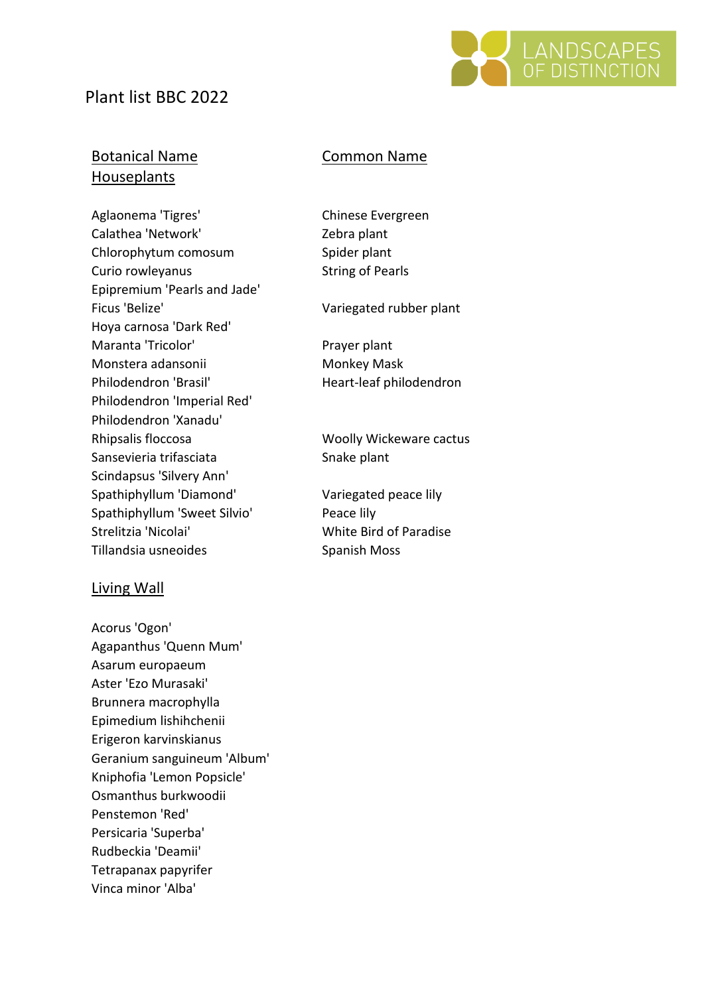# Plant list BBC 2022



## Botanical Name Common Name Houseplants

Aglaonema 'Tigres' Chinese Evergreen Calathea 'Network' Zebra plant Chlorophytum comosum<br>
Spider plant Curio rowleyanus **String of Pearls** Epipremium 'Pearls and Jade' Ficus 'Belize' Variegated rubber plant Hoya carnosa 'Dark Red' Maranta 'Tricolor' Prayer plant Monstera adansonii Monkey Mask Philodendron 'Brasil' Heart-leaf philodendron Philodendron 'Imperial Red' Philodendron 'Xanadu' Rhipsalis floccosa Woolly Wickeware cactus Sansevieria trifasciata Snake plant Scindapsus 'Silvery Ann' Spathiphyllum 'Diamond' Variegated peace lily Spathiphyllum 'Sweet Silvio' Peace lily Strelitzia 'Nicolai' White Bird of Paradise Tillandsia usneoides Spanish Moss

### Living Wall

Acorus 'Ogon' Agapanthus 'Quenn Mum' Asarum europaeum Aster 'Ezo Murasaki' Brunnera macrophylla Epimedium lishihchenii Erigeron karvinskianus Geranium sanguineum 'Album' Kniphofia 'Lemon Popsicle' Osmanthus burkwoodii Penstemon 'Red' Persicaria 'Superba' Rudbeckia 'Deamii' Tetrapanax papyrifer Vinca minor 'Alba'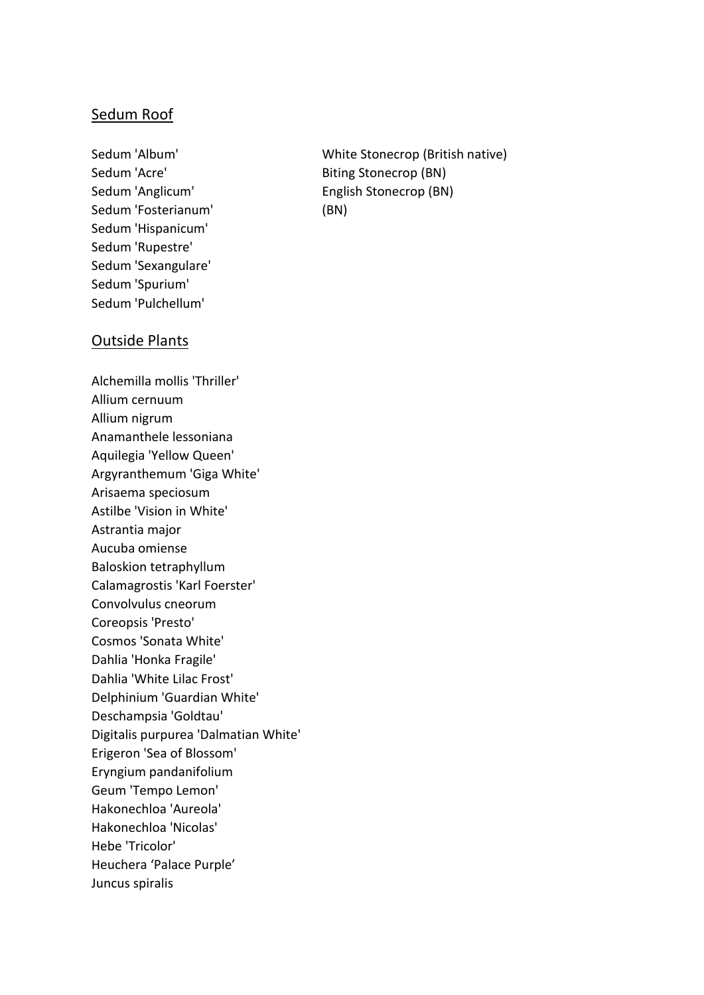### Sedum Roof

Sedum 'Acre' and the Biting Stonecrop (BN) Sedum 'Fosterianum' (BN) Sedum 'Hispanicum' Sedum 'Rupestre' Sedum 'Sexangulare' Sedum 'Spurium' Sedum 'Pulchellum'

Sedum 'Album' White Stonecrop (British native) Sedum 'Anglicum' English Stonecrop (BN)

#### Outside Plants

Alchemilla mollis 'Thriller' Allium cernuum Allium nigrum Anamanthele lessoniana Aquilegia 'Yellow Queen' Argyranthemum 'Giga White' Arisaema speciosum Astilbe 'Vision in White' Astrantia major Aucuba omiense Baloskion tetraphyllum Calamagrostis 'Karl Foerster' Convolvulus cneorum Coreopsis 'Presto' Cosmos 'Sonata White' Dahlia 'Honka Fragile' Dahlia 'White Lilac Frost' Delphinium 'Guardian White' Deschampsia 'Goldtau' Digitalis purpurea 'Dalmatian White' Erigeron 'Sea of Blossom' Eryngium pandanifolium Geum 'Tempo Lemon' Hakonechloa 'Aureola' Hakonechloa 'Nicolas' Hebe 'Tricolor' Heuchera 'Palace Purple' Juncus spiralis